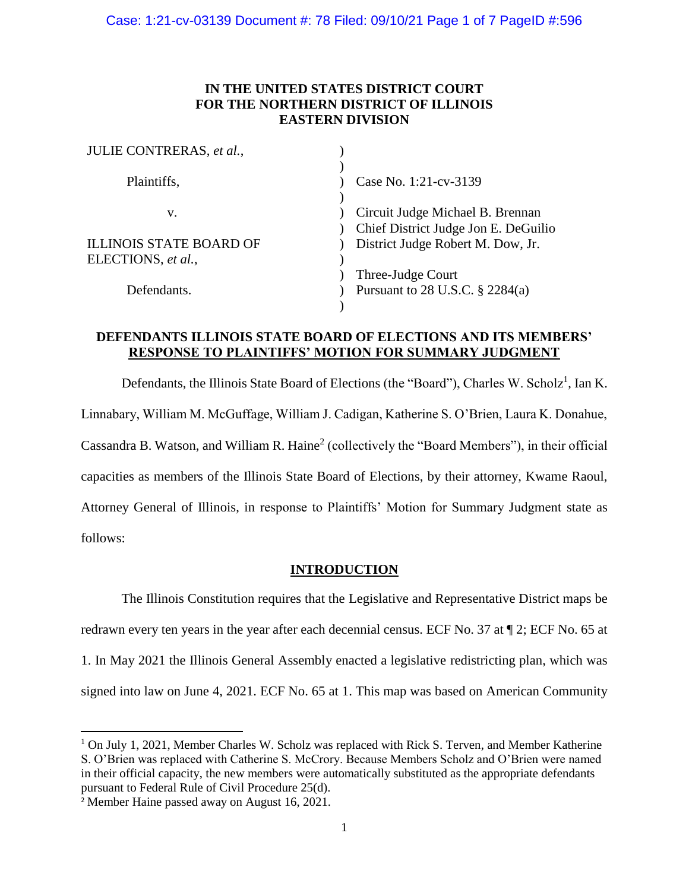## **IN THE UNITED STATES DISTRICT COURT FOR THE NORTHERN DISTRICT OF ILLINOIS EASTERN DIVISION**

| JULIE CONTRERAS, et al.,       |                                                                          |
|--------------------------------|--------------------------------------------------------------------------|
| Plaintiffs,                    | Case No. 1:21-cv-3139                                                    |
| V.                             | Circuit Judge Michael B. Brennan<br>Chief District Judge Jon E. DeGuilio |
| <b>ILLINOIS STATE BOARD OF</b> | District Judge Robert M. Dow, Jr.                                        |
| ELECTIONS, et al.,             |                                                                          |
|                                | Three-Judge Court                                                        |
| Defendants.                    | Pursuant to 28 U.S.C. $\S$ 2284(a)                                       |
|                                |                                                                          |

## **DEFENDANTS ILLINOIS STATE BOARD OF ELECTIONS AND ITS MEMBERS' RESPONSE TO PLAINTIFFS' MOTION FOR SUMMARY JUDGMENT**

Defendants, the Illinois State Board of Elections (the "Board"), Charles W. Scholz<sup>1</sup>, Ian K. Linnabary, William M. McGuffage, William J. Cadigan, Katherine S. O'Brien, Laura K. Donahue, Cassandra B. Watson, and William R. Haine<sup>2</sup> (collectively the "Board Members"), in their official capacities as members of the Illinois State Board of Elections, by their attorney, Kwame Raoul, Attorney General of Illinois, in response to Plaintiffs' Motion for Summary Judgment state as follows:

## **INTRODUCTION**

The Illinois Constitution requires that the Legislative and Representative District maps be redrawn every ten years in the year after each decennial census. ECF No. 37 at ¶ 2; ECF No. 65 at 1. In May 2021 the Illinois General Assembly enacted a legislative redistricting plan, which was signed into law on June 4, 2021. ECF No. 65 at 1. This map was based on American Community

 $\overline{a}$ 

<sup>1</sup> On July 1, 2021, Member Charles W. Scholz was replaced with Rick S. Terven, and Member Katherine S. O'Brien was replaced with Catherine S. McCrory. Because Members Scholz and O'Brien were named in their official capacity, the new members were automatically substituted as the appropriate defendants pursuant to Federal Rule of Civil Procedure 25(d).

<sup>2</sup> Member Haine passed away on August 16, 2021.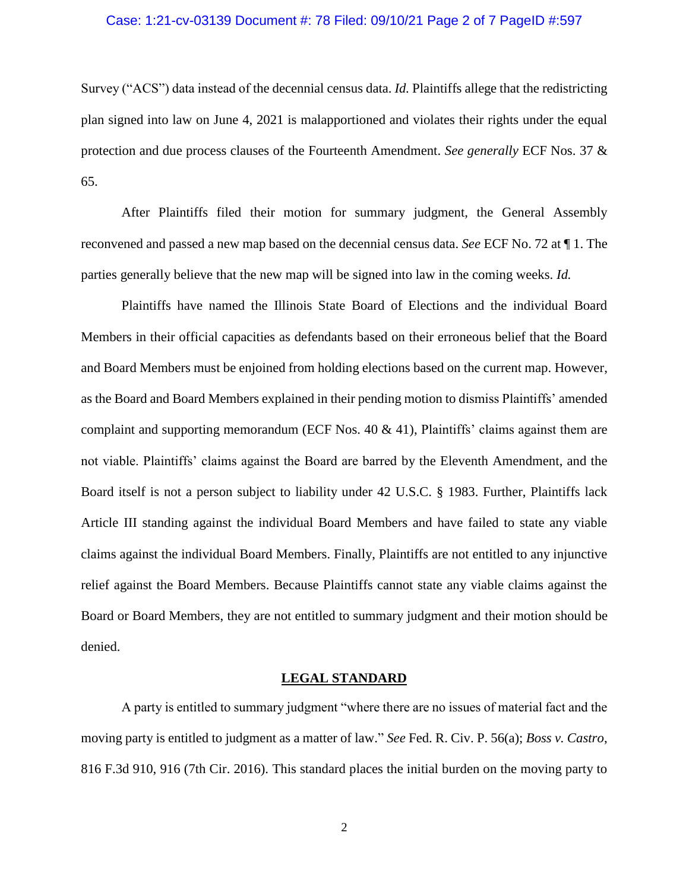#### Case: 1:21-cv-03139 Document #: 78 Filed: 09/10/21 Page 2 of 7 PageID #:597

Survey ("ACS") data instead of the decennial census data. *Id.* Plaintiffs allege that the redistricting plan signed into law on June 4, 2021 is malapportioned and violates their rights under the equal protection and due process clauses of the Fourteenth Amendment. *See generally* ECF Nos. 37 & 65.

After Plaintiffs filed their motion for summary judgment, the General Assembly reconvened and passed a new map based on the decennial census data. *See* ECF No. 72 at ¶ 1. The parties generally believe that the new map will be signed into law in the coming weeks. *Id.*

Plaintiffs have named the Illinois State Board of Elections and the individual Board Members in their official capacities as defendants based on their erroneous belief that the Board and Board Members must be enjoined from holding elections based on the current map. However, as the Board and Board Members explained in their pending motion to dismiss Plaintiffs' amended complaint and supporting memorandum (ECF Nos.  $40 \& 41$ ), Plaintiffs' claims against them are not viable. Plaintiffs' claims against the Board are barred by the Eleventh Amendment, and the Board itself is not a person subject to liability under 42 U.S.C. § 1983. Further, Plaintiffs lack Article III standing against the individual Board Members and have failed to state any viable claims against the individual Board Members. Finally, Plaintiffs are not entitled to any injunctive relief against the Board Members. Because Plaintiffs cannot state any viable claims against the Board or Board Members, they are not entitled to summary judgment and their motion should be denied.

#### **LEGAL STANDARD**

A party is entitled to summary judgment "where there are no issues of material fact and the moving party is entitled to judgment as a matter of law." *See* Fed. R. Civ. P. 56(a); *Boss v. Castro*, 816 F.3d 910, 916 (7th Cir. 2016). This standard places the initial burden on the moving party to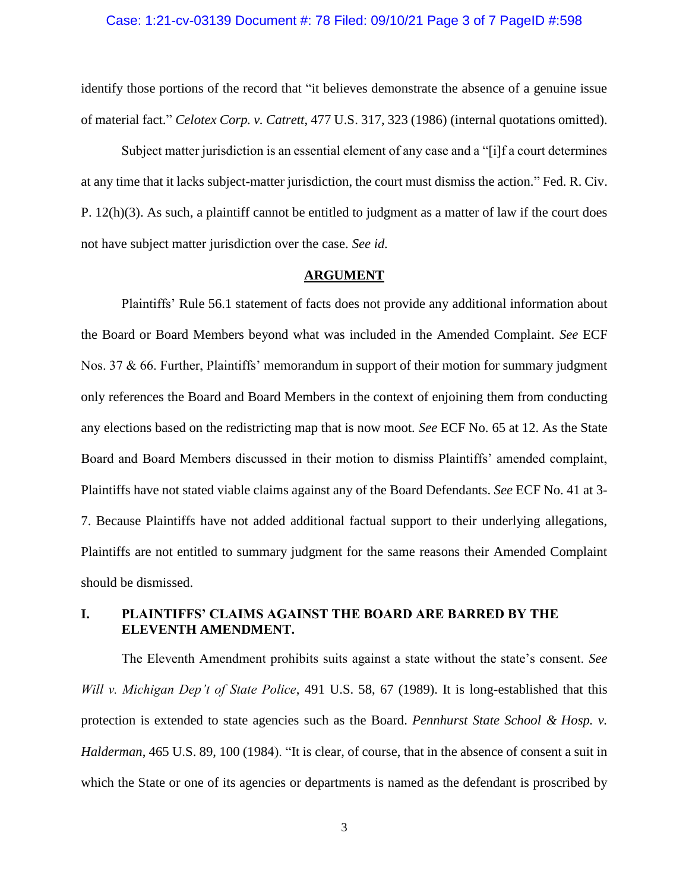#### Case: 1:21-cv-03139 Document #: 78 Filed: 09/10/21 Page 3 of 7 PageID #:598

identify those portions of the record that "it believes demonstrate the absence of a genuine issue of material fact." *Celotex Corp. v. Catrett*, 477 U.S. 317, 323 (1986) (internal quotations omitted).

Subject matter jurisdiction is an essential element of any case and a "[i]f a court determines at any time that it lacks subject-matter jurisdiction, the court must dismiss the action." Fed. R. Civ. P. 12(h)(3). As such, a plaintiff cannot be entitled to judgment as a matter of law if the court does not have subject matter jurisdiction over the case. *See id.*

#### **ARGUMENT**

Plaintiffs' Rule 56.1 statement of facts does not provide any additional information about the Board or Board Members beyond what was included in the Amended Complaint. *See* ECF Nos. 37 & 66. Further, Plaintiffs' memorandum in support of their motion for summary judgment only references the Board and Board Members in the context of enjoining them from conducting any elections based on the redistricting map that is now moot. *See* ECF No. 65 at 12. As the State Board and Board Members discussed in their motion to dismiss Plaintiffs' amended complaint, Plaintiffs have not stated viable claims against any of the Board Defendants. *See* ECF No. 41 at 3- 7. Because Plaintiffs have not added additional factual support to their underlying allegations, Plaintiffs are not entitled to summary judgment for the same reasons their Amended Complaint should be dismissed.

## **I. PLAINTIFFS' CLAIMS AGAINST THE BOARD ARE BARRED BY THE ELEVENTH AMENDMENT.**

The Eleventh Amendment prohibits suits against a state without the state's consent. *See Will v. Michigan Dep't of State Police*, 491 U.S. 58, 67 (1989). It is long-established that this protection is extended to state agencies such as the Board. *Pennhurst State School & Hosp. v. Halderman*, 465 U.S. 89, 100 (1984). "It is clear, of course, that in the absence of consent a suit in which the State or one of its agencies or departments is named as the defendant is proscribed by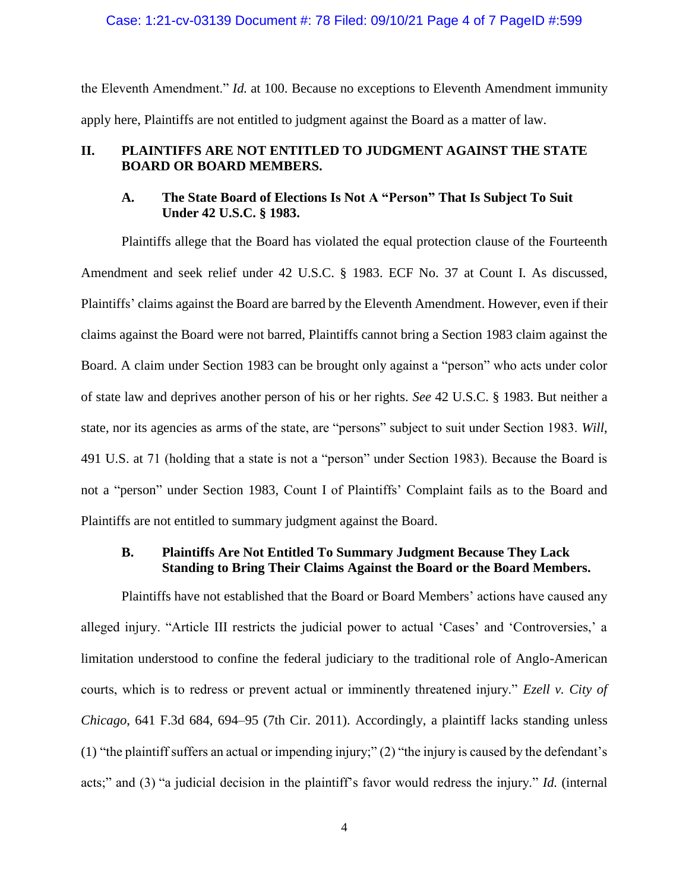#### Case: 1:21-cv-03139 Document #: 78 Filed: 09/10/21 Page 4 of 7 PageID #:599

the Eleventh Amendment." *Id.* at 100. Because no exceptions to Eleventh Amendment immunity apply here, Plaintiffs are not entitled to judgment against the Board as a matter of law.

## **II. PLAINTIFFS ARE NOT ENTITLED TO JUDGMENT AGAINST THE STATE BOARD OR BOARD MEMBERS.**

## **A. The State Board of Elections Is Not A "Person" That Is Subject To Suit Under 42 U.S.C. § 1983.**

Plaintiffs allege that the Board has violated the equal protection clause of the Fourteenth Amendment and seek relief under 42 U.S.C. § 1983. ECF No. 37 at Count I. As discussed, Plaintiffs' claims against the Board are barred by the Eleventh Amendment. However, even if their claims against the Board were not barred, Plaintiffs cannot bring a Section 1983 claim against the Board. A claim under Section 1983 can be brought only against a "person" who acts under color of state law and deprives another person of his or her rights. *See* 42 U.S.C. § 1983. But neither a state, nor its agencies as arms of the state, are "persons" subject to suit under Section 1983. *Will*, 491 U.S. at 71 (holding that a state is not a "person" under Section 1983). Because the Board is not a "person" under Section 1983, Count I of Plaintiffs' Complaint fails as to the Board and Plaintiffs are not entitled to summary judgment against the Board.

# **B. Plaintiffs Are Not Entitled To Summary Judgment Because They Lack Standing to Bring Their Claims Against the Board or the Board Members.**

Plaintiffs have not established that the Board or Board Members' actions have caused any alleged injury. "Article III restricts the judicial power to actual 'Cases' and 'Controversies,' a limitation understood to confine the federal judiciary to the traditional role of Anglo-American courts, which is to redress or prevent actual or imminently threatened injury." *Ezell v. City of Chicago*, 641 F.3d 684, 694–95 (7th Cir. 2011). Accordingly, a plaintiff lacks standing unless (1) "the plaintiff suffers an actual or impending injury;" (2) "the injury is caused by the defendant's acts;" and (3) "a judicial decision in the plaintiff's favor would redress the injury." *Id.* (internal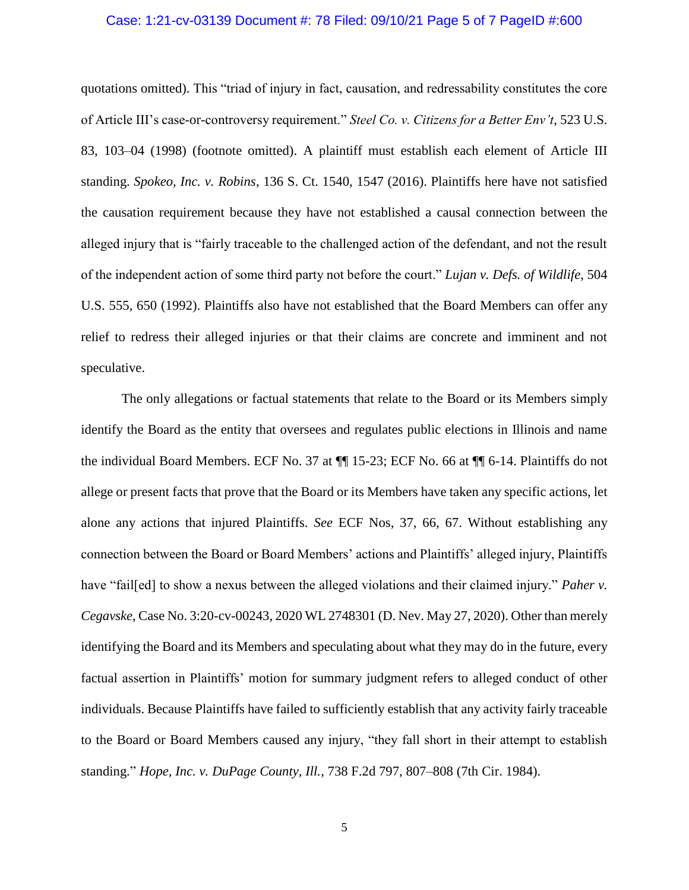## Case: 1:21-cv-03139 Document #: 78 Filed: 09/10/21 Page 5 of 7 PageID #:600

quotations omitted). This "triad of injury in fact, causation, and redressability constitutes the core of Article III's case-or-controversy requirement." *Steel Co. v. Citizens for a Better Env't*, 523 U.S. 83, 103–04 (1998) (footnote omitted). A plaintiff must establish each element of Article III standing. *Spokeo, Inc. v. Robins*, 136 S. Ct. 1540, 1547 (2016). Plaintiffs here have not satisfied the causation requirement because they have not established a causal connection between the alleged injury that is "fairly traceable to the challenged action of the defendant, and not the result of the independent action of some third party not before the court." *Lujan v. Defs. of Wildlife*, 504 U.S. 555, 650 (1992). Plaintiffs also have not established that the Board Members can offer any relief to redress their alleged injuries or that their claims are concrete and imminent and not speculative.

The only allegations or factual statements that relate to the Board or its Members simply identify the Board as the entity that oversees and regulates public elections in Illinois and name the individual Board Members. ECF No. 37 at ¶¶ 15-23; ECF No. 66 at ¶¶ 6-14. Plaintiffs do not allege or present facts that prove that the Board or its Members have taken any specific actions, let alone any actions that injured Plaintiffs. *See* ECF Nos, 37, 66, 67. Without establishing any connection between the Board or Board Members' actions and Plaintiffs' alleged injury, Plaintiffs have "fail[ed] to show a nexus between the alleged violations and their claimed injury." *Paher v. Cegavske*, Case No. 3:20-cv-00243, 2020 WL 2748301 (D. Nev. May 27, 2020). Other than merely identifying the Board and its Members and speculating about what they may do in the future, every factual assertion in Plaintiffs' motion for summary judgment refers to alleged conduct of other individuals. Because Plaintiffs have failed to sufficiently establish that any activity fairly traceable to the Board or Board Members caused any injury, "they fall short in their attempt to establish standing." *Hope, Inc. v. DuPage County, Ill.*, 738 F.2d 797, 807–808 (7th Cir. 1984).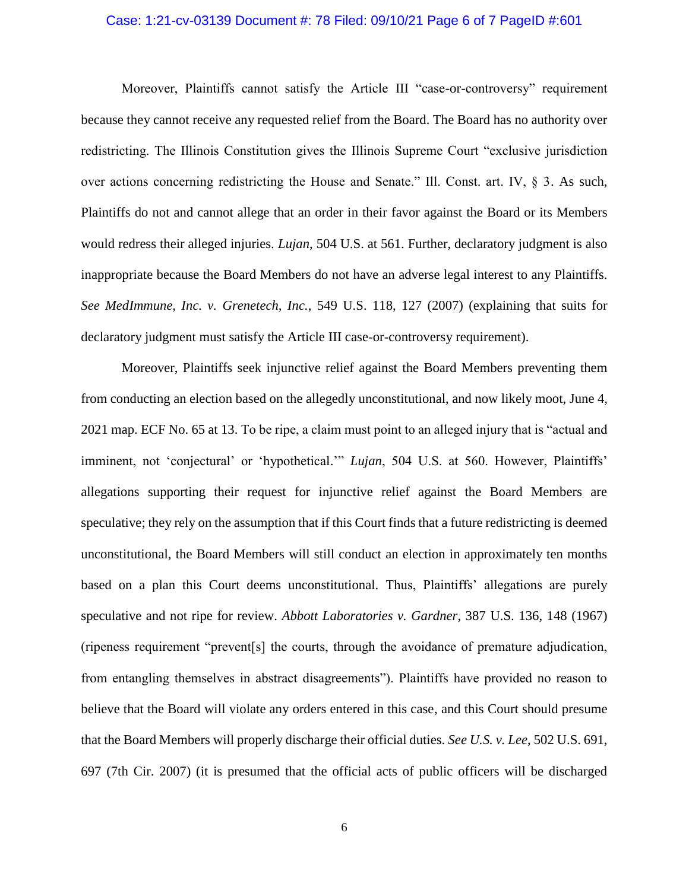#### Case: 1:21-cv-03139 Document #: 78 Filed: 09/10/21 Page 6 of 7 PageID #:601

Moreover, Plaintiffs cannot satisfy the Article III "case-or-controversy" requirement because they cannot receive any requested relief from the Board. The Board has no authority over redistricting. The Illinois Constitution gives the Illinois Supreme Court "exclusive jurisdiction over actions concerning redistricting the House and Senate." Ill. Const. art. IV, § 3. As such, Plaintiffs do not and cannot allege that an order in their favor against the Board or its Members would redress their alleged injuries. *Lujan*, 504 U.S. at 561. Further, declaratory judgment is also inappropriate because the Board Members do not have an adverse legal interest to any Plaintiffs. *See MedImmune, Inc. v. Grenetech, Inc.*, 549 U.S. 118, 127 (2007) (explaining that suits for declaratory judgment must satisfy the Article III case-or-controversy requirement).

Moreover, Plaintiffs seek injunctive relief against the Board Members preventing them from conducting an election based on the allegedly unconstitutional, and now likely moot, June 4, 2021 map. ECF No. 65 at 13. To be ripe, a claim must point to an alleged injury that is "actual and imminent, not 'conjectural' or 'hypothetical.'" *Lujan*, 504 U.S. at 560. However, Plaintiffs' allegations supporting their request for injunctive relief against the Board Members are speculative; they rely on the assumption that if this Court finds that a future redistricting is deemed unconstitutional, the Board Members will still conduct an election in approximately ten months based on a plan this Court deems unconstitutional. Thus, Plaintiffs' allegations are purely speculative and not ripe for review. *Abbott Laboratories v. Gardner*, 387 U.S. 136, 148 (1967) (ripeness requirement "prevent[s] the courts, through the avoidance of premature adjudication, from entangling themselves in abstract disagreements"). Plaintiffs have provided no reason to believe that the Board will violate any orders entered in this case, and this Court should presume that the Board Members will properly discharge their official duties. *See U.S. v. Lee*, 502 U.S. 691, 697 (7th Cir. 2007) (it is presumed that the official acts of public officers will be discharged